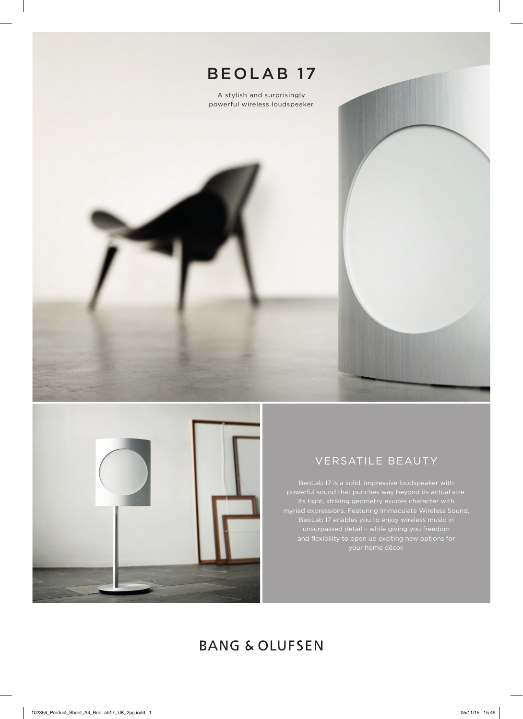



## VERSATILE BEAUTY

BeoLab 17 is a solid, impressive loudspeaker with BeoLab 17 enables you to enjoy wireless music in unsurpassed detail – while giving you freedom

# **BANG & OLUFSEN**